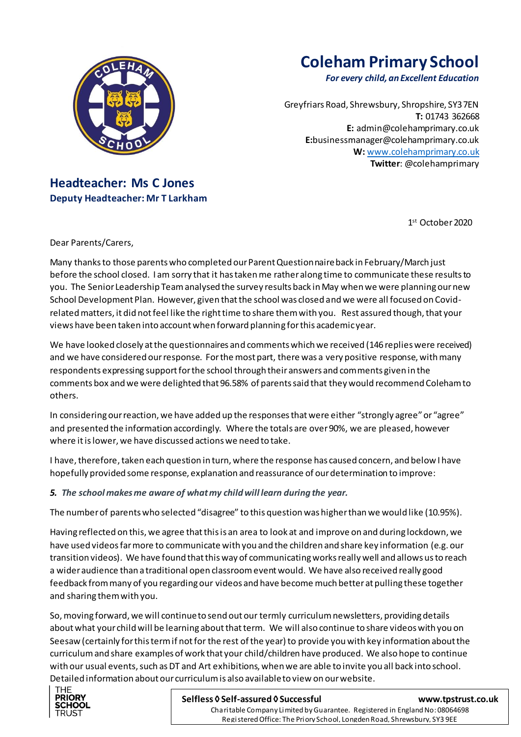

# **Coleham Primary School**

*For every child, an Excellent Education*

Greyfriars Road, Shrewsbury, Shropshire, SY3 7EN **T:** 01743 362668 **E:** [admin@colehamprimary.co.uk](mailto:admin@colehamprimary.co.uk) **E:**businessmanager@colehamprimary.co.uk **W:** [www.colehamprimary.co.uk](http://www.colehamprimary.co.uk/) **Twitter**: @colehamprimary

# **Headteacher: Ms C Jones Deputy Headteacher: Mr T Larkham**

1 st October2020

Dear Parents/Carers,

Many thanks to those parents who completed our Parent Questionnaire back in February/March just before the school closed. I am sorry that it has taken me rather along time to communicate these results to you. The Senior Leadership Team analysed the survey results back in May when we were planning our new School Development Plan. However, given that the school was closed and we were all focused on Covidrelated matters, it did not feel like the right time to share them with you. Rest assured though, that your views have been taken into account when forward planning for this academic year.

We have looked closely at the questionnaires and comments which we received (146 replies were received) and we have considered our response. For the most part, there was a very positive response, with many respondents expressing support for the school through their answers and comments given in the comments box and we were delighted that 96.58% of parents said that they would recommend Coleham to others.

In considering our reaction, we have added up the responses that were either "strongly agree" or "agree" and presented the information accordingly. Where the totals are over 90%, we are pleased, however where it is lower, we have discussed actions we need to take.

I have, therefore, taken each question in turn, where the response has caused concern, and below I have hopefully provided some response, explanation and reassurance of our determination to improve:

# *5. The school makes me aware of what my child will learn during the year.*

The number of parents who selected "disagree" to this question was higher than we would like (10.95%).

Having reflected on this, we agree that this is an area to look at and improve on and during lockdown, we have used videos far more to communicate with you and the children and share key information (e.g. our transition videos). We have found that this way of communicating works really well and allows us to reach a wider audience than a traditional open classroom event would. We have also received really good feedback from many of you regarding our videos and have become much better at pulling these together and sharing them with you.

So, moving forward, we will continue to send out our termly curriculum newsletters, providing details about what your child will be learning about that term. We will also continue to share videos with you on Seesaw (certainly for this term if not for the rest of the year) to provide you with key information about the curriculum and share examples of work that your child/children have produced. We also hope to continue with our usual events, such as DT and Art exhibitions, when we are able to invite you all back into school. Detailed information about our curriculum is also available to view on our website.



#### **Selfless ◊ Self-assured ◊ Successful [www.tpstrust.co.uk](http://www.tpstrust.co.uk/)**

 Registered Office: The Priory School, Longden Road, Shrewsbury, SY3 9EE Charitable Company Limited by Guarantee. Registered in England No: 08064698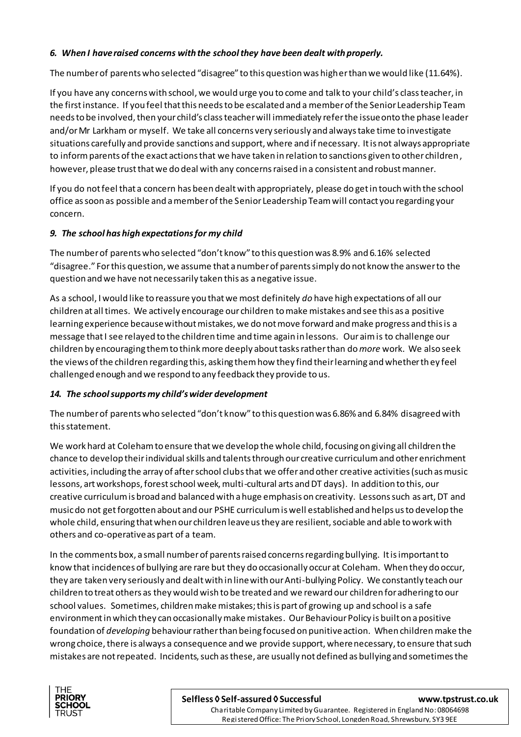# *6. When I have raised concerns with the school they have been dealt with properly.*

The number of parents who selected "disagree" to this question was higher than we would like (11.64%).

If you have any concerns with school, we would urge you to come and talk to your child's class teacher, in the first instance. If you feel that this needs to be escalated and a member of the Senior Leadership Team needs to be involved, then your child's class teacher will immediately refer the issue onto the phase leader and/or Mr Larkham or myself. We take all concerns very seriously and always take time to investigate situations carefully and provide sanctions and support, where and if necessary. It is not always appropriate to inform parents of the exact actions that we have taken in relation to sanctions given to other children, however, please trust that we do deal with any concerns raised in a consistent and robust manner.

If you do not feel that a concern has been dealt with appropriately, please do get in touch with the school office as soon as possible and a member of the Senior Leadership Team will contact you regarding your concern.

# *9. The school has high expectations for my child*

The number of parents who selected "don't know" to this question was 8.9% and 6.16% selected "disagree." For this question, we assume that a number of parents simply do not know the answer to the question and we have not necessarily taken this as a negative issue.

As a school, I would like to reassure you that we most definitely *do* have high expectations of all our children at all times. We actively encourage our children to make mistakes and see this as a positive learning experience because without mistakes, we do not move forward and make progress and this is a message that I see relayed to the children time and time again in lessons. Our aim is to challenge our children by encouraging them to think more deeply about tasks rather than do *more* work. We also seek the views of the children regarding this, asking them how they find their learning and whether they feel challenged enough and we respond to any feedback they provide to us.

## *14. The school supports my child's wider development*

The number of parents who selected "don't know" to this question was 6.86% and 6.84% disagreed with this statement.

We work hard at Coleham to ensure that we develop the whole child, focusing on giving all children the chance to develop their individual skills and talents through our creative curriculum and other enrichment activities, including the array of after school clubs that we offer and other creative activities (such as music lessons, art workshops, forest school week, multi-cultural arts and DT days). In addition to this, our creative curriculum is broad and balanced with a huge emphasis on creativity. Lessons such as art, DT and music do not get forgotten about and our PSHE curriculum is well established and helps us to develop the whole child, ensuring that when our children leave us they are resilient, sociable and able to work with others and co-operative as part of a team.

In the comments box, a small number of parents raised concerns regarding bullying. It is important to know that incidences of bullying are rare but they do occasionally occur at Coleham. When they do occur, they are taken very seriously and dealt with in line with our Anti-bullying Policy. We constantly teach our children to treat others as they would wish to be treated and we reward our children for adhering to our school values. Sometimes, children make mistakes; this is part of growing up and school is a safe environment in which they can occasionally make mistakes. Our Behaviour Policy is built on a positive foundation of *developing* behaviour rather than being focused on punitive action. When childrenmake the wrong choice, there is always a consequence and we provide support, where necessary, to ensure that such mistakes are not repeated. Incidents, such as these, are usually not defined as bullying and sometimes the



#### **Selfless ◊ Self-assured ◊ Successful [www.tpstrust.co.uk](http://www.tpstrust.co.uk/)**

 Registered Office: The Priory School, Longden Road, Shrewsbury, SY3 9EE Charitable Company Limited by Guarantee. Registered in England No: 08064698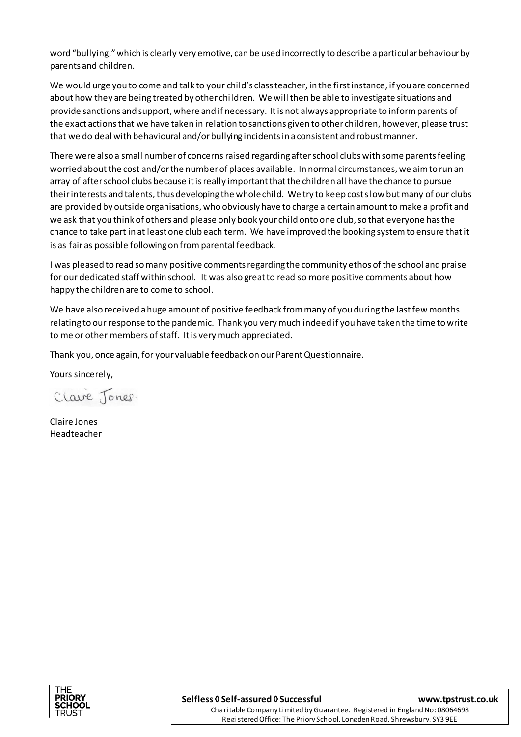word "bullying," which is clearly very emotive, can be used incorrectly to describe a particular behaviour by parents and children.

We would urge you to come and talk to your child's class teacher, in the first instance, if you are concerned about how they are being treated by other children. We will then be able to investigate situations and provide sanctions and support, where and if necessary. It is not always appropriate to inform parents of the exact actions that we have taken in relation to sanctions given to other children, however, please trust that we do deal with behavioural and/or bullying incidents in a consistent and robust manner.

There were also a small number of concerns raised regarding after school clubs with some parents feeling worried about the cost and/or the number of places available. In normal circumstances, we aim to run an array of after school clubs because it is really important that the children all have the chance to pursue their interests and talents, thus developing the whole child. We try to keep costs low but many of our clubs are provided by outside organisations, who obviously have to charge a certain amount to make a profit and we ask that you think of others and please only book your child onto one club, so that everyone has the chance to take part in at least one club each term. We have improved the booking system to ensure that it is as fair as possible following on fromparental feedback.

I was pleased to read so many positive comments regarding the community ethos of the school and praise for our dedicated staff within school. It was also great to read so more positive comments about how happy the children are to come to school.

We have also received a huge amount of positive feedback from many of you during the last few months relating to our response to the pandemic. Thank you very much indeed if you have taken the time to write to me or other members of staff. It is very much appreciated.

Thank you, once again, for your valuable feedback on our Parent Questionnaire.

Yours sincerely,

Clave Jones.

Claire Jones Headteacher



 Registered Office: The Priory School, Longden Road, Shrewsbury, SY3 9EE Charitable Company Limited by Guarantee. Registered in England No: 08064698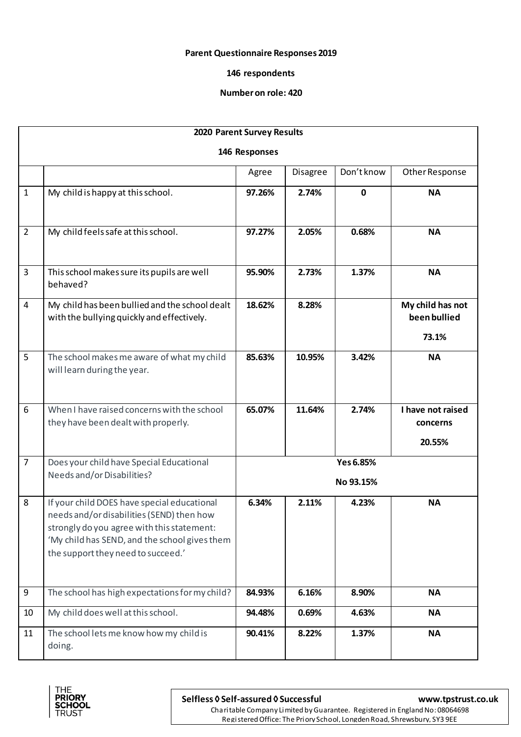### **Parent Questionnaire Responses 2019**

### **146 respondents**

#### **Number on role: 420**

| 2020 Parent Survey Results |                                                                                                                                                                                                                               |                        |          |             |                                           |  |  |  |
|----------------------------|-------------------------------------------------------------------------------------------------------------------------------------------------------------------------------------------------------------------------------|------------------------|----------|-------------|-------------------------------------------|--|--|--|
| 146 Responses              |                                                                                                                                                                                                                               |                        |          |             |                                           |  |  |  |
|                            |                                                                                                                                                                                                                               | Agree                  | Disagree | Don't know  | Other Response                            |  |  |  |
| $\mathbf{1}$               | My child is happy at this school.                                                                                                                                                                                             | 97.26%                 | 2.74%    | $\mathbf 0$ | <b>NA</b>                                 |  |  |  |
| $\overline{2}$             | My child feels safe at this school.                                                                                                                                                                                           | 97.27%                 | 2.05%    | 0.68%       | <b>NA</b>                                 |  |  |  |
| 3                          | This school makes sure its pupils are well<br>behaved?                                                                                                                                                                        | 95.90%                 | 2.73%    | 1.37%       | <b>NA</b>                                 |  |  |  |
| 4                          | My child has been bullied and the school dealt<br>with the bullying quickly and effectively.                                                                                                                                  | 18.62%                 | 8.28%    |             | My child has not<br>been bullied<br>73.1% |  |  |  |
| 5                          | The school makes me aware of what my child<br>will learn during the year.                                                                                                                                                     | 85.63%                 | 10.95%   | 3.42%       | <b>NA</b>                                 |  |  |  |
| 6                          | When I have raised concerns with the school<br>they have been dealt with properly.                                                                                                                                            | 65.07%                 | 11.64%   | 2.74%       | I have not raised<br>concerns<br>20.55%   |  |  |  |
| $\overline{7}$             | Does your child have Special Educational<br>Needs and/or Disabilities?                                                                                                                                                        | Yes 6.85%<br>No 93.15% |          |             |                                           |  |  |  |
| 8                          | If your child DOES have special educational<br>needs and/or disabilities (SEND) then how<br>strongly do you agree with this statement:<br>'My child has SEND, and the school gives them<br>the support they need to succeed.' | 6.34%                  | 2.11%    | 4.23%       | <b>NA</b>                                 |  |  |  |
| 9                          | The school has high expectations for my child?                                                                                                                                                                                | 84.93%                 | 6.16%    | 8.90%       | <b>NA</b>                                 |  |  |  |
| 10                         | My child does well at this school.                                                                                                                                                                                            | 94.48%                 | 0.69%    | 4.63%       | <b>NA</b>                                 |  |  |  |
| 11                         | The school lets me know how my child is<br>doing.                                                                                                                                                                             | 90.41%                 | 8.22%    | 1.37%       | <b>NA</b>                                 |  |  |  |



**Selfless ◊ Self-assured ◊ Successful [www.tpstrust.co.uk](http://www.tpstrust.co.uk/)**

 Charitable Company Limited by Guarantee. Registered in England No: 08064698 Registered Office: The Priory School, Longden Road, Shrewsbury, SY3 9EE